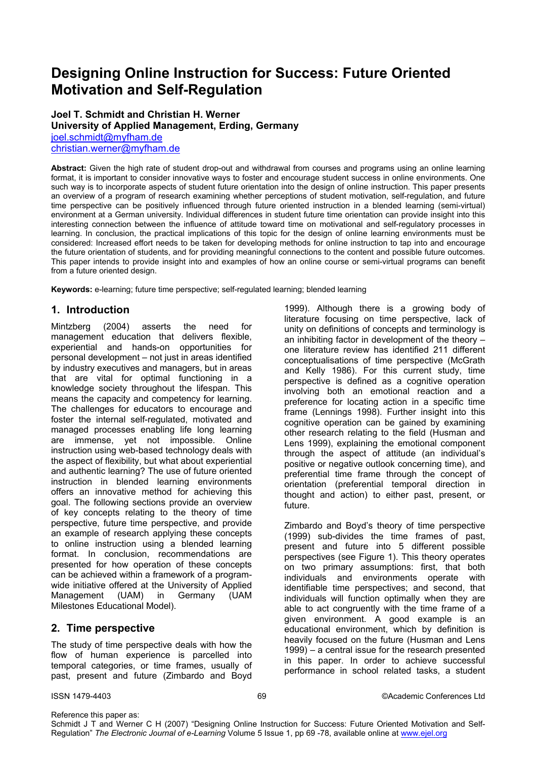# **Designing Online Instruction for Success: Future Oriented Motivation and Self-Regulation**

**Joel T. Schmidt and Christian H. Werner University of Applied Management, Erding, Germany**  joel.schmidt@myfham.de christian.werner@myfham.de

**Abstract:** Given the high rate of student drop-out and withdrawal from courses and programs using an online learning format, it is important to consider innovative ways to foster and encourage student success in online environments. One such way is to incorporate aspects of student future orientation into the design of online instruction. This paper presents an overview of a program of research examining whether perceptions of student motivation, self-regulation, and future time perspective can be positively influenced through future oriented instruction in a blended learning (semi-virtual) environment at a German university. Individual differences in student future time orientation can provide insight into this interesting connection between the influence of attitude toward time on motivational and self-regulatory processes in learning. In conclusion, the practical implications of this topic for the design of online learning environments must be considered: Increased effort needs to be taken for developing methods for online instruction to tap into and encourage the future orientation of students, and for providing meaningful connections to the content and possible future outcomes. This paper intends to provide insight into and examples of how an online course or semi-virtual programs can benefit from a future oriented design.

**Keywords:** e-learning; future time perspective; self-regulated learning; blended learning

# **1. Introduction**

Mintzberg (2004) asserts the need for management education that delivers flexible, experiential and hands-on opportunities for personal development – not just in areas identified by industry executives and managers, but in areas that are vital for optimal functioning in a knowledge society throughout the lifespan. This means the capacity and competency for learning. The challenges for educators to encourage and foster the internal self-regulated, motivated and managed processes enabling life long learning are immense, yet not impossible. Online instruction using web-based technology deals with the aspect of flexibility, but what about experiential and authentic learning? The use of future oriented instruction in blended learning environments offers an innovative method for achieving this goal. The following sections provide an overview of key concepts relating to the theory of time perspective, future time perspective, and provide an example of research applying these concepts to online instruction using a blended learning format. In conclusion, recommendations are presented for how operation of these concepts can be achieved within a framework of a programwide initiative offered at the University of Applied Management (UAM) in Germany (UAM Milestones Educational Model).

# **2. Time perspective**

The study of time perspective deals with how the flow of human experience is parcelled into temporal categories, or time frames, usually of past, present and future (Zimbardo and Boyd 1999). Although there is a growing body of literature focusing on time perspective, lack of unity on definitions of concepts and terminology is an inhibiting factor in development of the theory – one literature review has identified 211 different conceptualisations of time perspective (McGrath and Kelly 1986). For this current study, time perspective is defined as a cognitive operation involving both an emotional reaction and a preference for locating action in a specific time frame (Lennings 1998). Further insight into this cognitive operation can be gained by examining other research relating to the field (Husman and Lens 1999), explaining the emotional component through the aspect of attitude (an individual's positive or negative outlook concerning time), and preferential time frame through the concept of orientation (preferential temporal direction in thought and action) to either past, present, or future.

Zimbardo and Boyd's theory of time perspective (1999) sub-divides the time frames of past, present and future into 5 different possible perspectives (see Figure 1). This theory operates on two primary assumptions: first, that both individuals and environments operate with identifiable time perspectives; and second, that individuals will function optimally when they are able to act congruently with the time frame of a given environment. A good example is an educational environment, which by definition is heavily focused on the future (Husman and Lens 1999) – a central issue for the research presented in this paper. In order to achieve successful performance in school related tasks, a student

Reference this paper as:

Schmidt J T and Werner C H (2007) "Designing Online Instruction for Success: Future Oriented Motivation and Self-Regulation" *The Electronic Journal of e-Learning* Volume 5 Issue 1, pp 69 -78, available online at www.ejel.org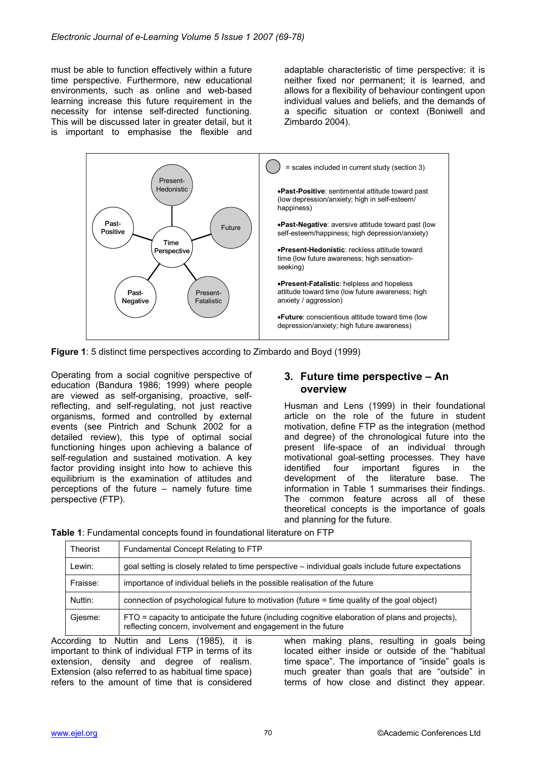must be able to function effectively within a future time perspective. Furthermore, new educational environments, such as online and web-based learning increase this future requirement in the necessity for intense self-directed functioning. This will be discussed later in greater detail, but it is important to emphasise the flexible and adaptable characteristic of time perspective: it is neither fixed nor permanent; it is learned, and allows for a flexibility of behaviour contingent upon individual values and beliefs, and the demands of a specific situation or context (Boniwell and Zimbardo 2004).



**Figure 1**: 5 distinct time perspectives according to Zimbardo and Boyd (1999)

Operating from a social cognitive perspective of education (Bandura 1986; 1999) where people are viewed as self-organising, proactive, selfreflecting, and self-regulating, not just reactive organisms, formed and controlled by external events (see Pintrich and Schunk 2002 for a detailed review), this type of optimal social functioning hinges upon achieving a balance of self-regulation and sustained motivation. A key factor providing insight into how to achieve this equilibrium is the examination of attitudes and perceptions of the future – namely future time perspective (FTP).

#### **3. Future time perspective – An overview**

Husman and Lens (1999) in their foundational article on the role of the future in student motivation, define FTP as the integration (method and degree) of the chronological future into the present life-space of an individual through motivational goal-setting processes. They have identified four important figures in the development of the literature base. The information in Table 1 summarises their findings. The common feature across all of these theoretical concepts is the importance of goals and planning for the future.

| Theorist | Fundamental Concept Relating to FTP                                                                                                                              |
|----------|------------------------------------------------------------------------------------------------------------------------------------------------------------------|
| Lewin:   | goal setting is closely related to time perspective – individual goals include future expectations                                                               |
| Fraisse: | importance of individual beliefs in the possible realisation of the future                                                                                       |
| Nuttin:  | connection of psychological future to motivation (future = time quality of the goal object)                                                                      |
| Giesme:  | FTO = capacity to anticipate the future (including cognitive elaboration of plans and projects),<br>reflecting concern, involvement and engagement in the future |

**Table 1**: Fundamental concepts found in foundational literature on FTP

According to Nuttin and Lens (1985), it is important to think of individual FTP in terms of its extension, density and degree of realism. Extension (also referred to as habitual time space) refers to the amount of time that is considered when making plans, resulting in goals being located either inside or outside of the "habitual time space". The importance of "inside" goals is much greater than goals that are "outside" in terms of how close and distinct they appear.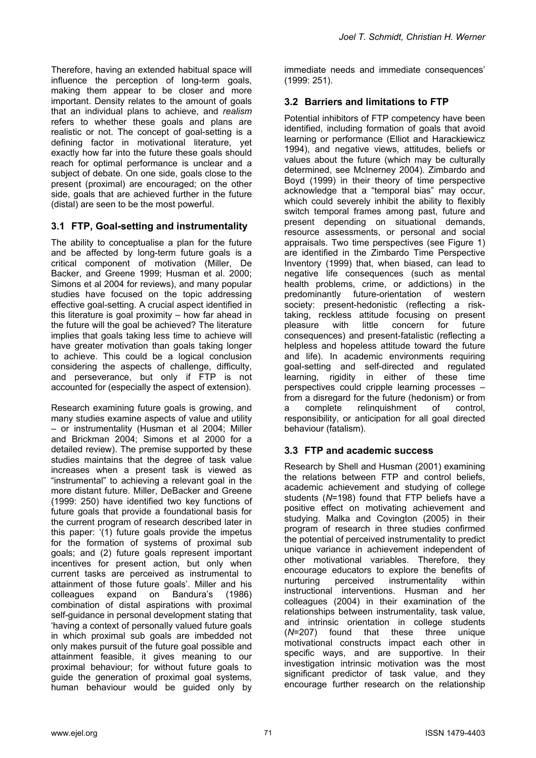Therefore, having an extended habitual space will influence the perception of long-term goals, making them appear to be closer and more important. Density relates to the amount of goals that an individual plans to achieve, and *realism* refers to whether these goals and plans are realistic or not. The concept of goal-setting is a defining factor in motivational literature, yet exactly how far into the future these goals should reach for optimal performance is unclear and a subject of debate. On one side, goals close to the present (proximal) are encouraged; on the other side, goals that are achieved further in the future (distal) are seen to be the most powerful.

#### **3.1 FTP, Goal-setting and instrumentality**

The ability to conceptualise a plan for the future and be affected by long-term future goals is a critical component of motivation (Miller, De Backer, and Greene 1999; Husman et al. 2000; Simons et al 2004 for reviews), and many popular studies have focused on the topic addressing effective goal-setting. A crucial aspect identified in this literature is goal proximity – how far ahead in the future will the goal be achieved? The literature implies that goals taking less time to achieve will have greater motivation than goals taking longer to achieve. This could be a logical conclusion considering the aspects of challenge, difficulty, and perseverance, but only if FTP is not accounted for (especially the aspect of extension).

Research examining future goals is growing, and many studies examine aspects of value and utility – or instrumentality (Husman et al 2004; Miller and Brickman 2004; Simons et al 2000 for a detailed review). The premise supported by these studies maintains that the degree of task value increases when a present task is viewed as "instrumental" to achieving a relevant goal in the more distant future. Miller, DeBacker and Greene (1999: 250) have identified two key functions of future goals that provide a foundational basis for the current program of research described later in this paper: '(1) future goals provide the impetus for the formation of systems of proximal sub goals; and (2) future goals represent important incentives for present action, but only when current tasks are perceived as instrumental to attainment of those future goals'. Miller and his colleagues expand on Bandura's (1986) combination of distal aspirations with proximal self-guidance in personal development stating that 'having a context of personally valued future goals in which proximal sub goals are imbedded not only makes pursuit of the future goal possible and attainment feasible, it gives meaning to our proximal behaviour; for without future goals to guide the generation of proximal goal systems, human behaviour would be guided only by

immediate needs and immediate consequences' (1999: 251).

#### **3.2 Barriers and limitations to FTP**

Potential inhibitors of FTP competency have been identified, including formation of goals that avoid learning or performance (Elliot and Harackiewicz 1994), and negative views, attitudes, beliefs or values about the future (which may be culturally determined, see McInerney 2004). Zimbardo and Boyd (1999) in their theory of time perspective acknowledge that a "temporal bias" may occur, which could severely inhibit the ability to flexibly switch temporal frames among past, future and present depending on situational demands, resource assessments, or personal and social appraisals. Two time perspectives (see Figure 1) are identified in the Zimbardo Time Perspective Inventory (1999) that, when biased, can lead to negative life consequences (such as mental health problems, crime, or addictions) in the predominantly future-orientation of western society: present-hedonistic (reflecting a risktaking, reckless attitude focusing on present pleasure with little concern for future consequences) and present-fatalistic (reflecting a helpless and hopeless attitude toward the future and life). In academic environments requiring goal-setting and self-directed and regulated learning, rigidity in either of these time perspectives could cripple learning processes – from a disregard for the future (hedonism) or from a complete relinquishment of control, responsibility, or anticipation for all goal directed behaviour (fatalism).

#### **3.3 FTP and academic success**

Research by Shell and Husman (2001) examining the relations between FTP and control beliefs, academic achievement and studying of college students (*N*=198) found that FTP beliefs have a positive effect on motivating achievement and studying. Malka and Covington (2005) in their program of research in three studies confirmed the potential of perceived instrumentality to predict unique variance in achievement independent of other motivational variables. Therefore, they encourage educators to explore the benefits of nurturing perceived instrumentality within instructional interventions. Husman and her colleagues (2004) in their examination of the relationships between instrumentality, task value, and intrinsic orientation in college students (*N*=207) found that these three unique motivational constructs impact each other in specific ways, and are supportive. In their investigation intrinsic motivation was the most significant predictor of task value, and they encourage further research on the relationship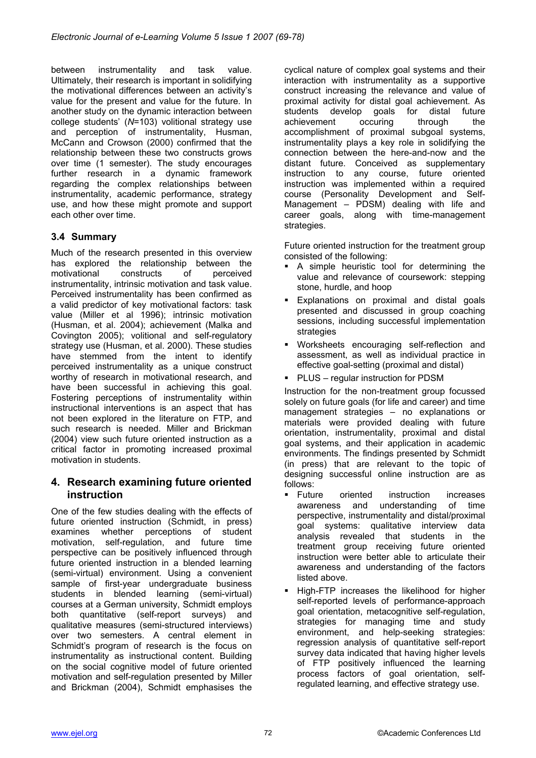between instrumentality and task value. Ultimately, their research is important in solidifying the motivational differences between an activity's value for the present and value for the future. In another study on the dynamic interaction between college students' (*N*=103) volitional strategy use and perception of instrumentality, Husman, McCann and Crowson (2000) confirmed that the relationship between these two constructs grows over time (1 semester). The study encourages further research in a dynamic framework regarding the complex relationships between instrumentality, academic performance, strategy use, and how these might promote and support each other over time.

#### **3.4 Summary**

Much of the research presented in this overview has explored the relationship between the motivational constructs of perceived instrumentality, intrinsic motivation and task value. Perceived instrumentality has been confirmed as a valid predictor of key motivational factors: task value (Miller et al 1996); intrinsic motivation (Husman, et al. 2004); achievement (Malka and Covington 2005); volitional and self-regulatory strategy use (Husman, et al. 2000). These studies have stemmed from the intent to identify perceived instrumentality as a unique construct worthy of research in motivational research, and have been successful in achieving this goal. Fostering perceptions of instrumentality within instructional interventions is an aspect that has not been explored in the literature on FTP, and such research is needed. Miller and Brickman (2004) view such future oriented instruction as a critical factor in promoting increased proximal motivation in students.

# **4. Research examining future oriented instruction**

One of the few studies dealing with the effects of future oriented instruction (Schmidt, in press) examines whether perceptions of student motivation, self-regulation, and future time perspective can be positively influenced through future oriented instruction in a blended learning (semi-virtual) environment. Using a convenient sample of first-year undergraduate business students in blended learning (semi-virtual) courses at a German university, Schmidt employs both quantitative (self-report surveys) and qualitative measures (semi-structured interviews) over two semesters. A central element in Schmidt's program of research is the focus on instrumentality as instructional content. Building on the social cognitive model of future oriented motivation and self-regulation presented by Miller and Brickman (2004), Schmidt emphasises the

cyclical nature of complex goal systems and their interaction with instrumentality as a supportive construct increasing the relevance and value of proximal activity for distal goal achievement. As students develop goals for distal future achievement occuring through the accomplishment of proximal subgoal systems, instrumentality plays a key role in solidifying the connection between the here-and-now and the distant future. Conceived as supplementary instruction to any course, future oriented instruction was implemented within a required course (Personality Development and Self-Management – PDSM) dealing with life and career goals, along with time-management strategies.

Future oriented instruction for the treatment group consisted of the following:

- A simple heuristic tool for determining the value and relevance of coursework: stepping stone, hurdle, and hoop
- Explanations on proximal and distal goals presented and discussed in group coaching sessions, including successful implementation strategies
- Worksheets encouraging self-reflection and assessment, as well as individual practice in effective goal-setting (proximal and distal)
- PLUS regular instruction for PDSM

Instruction for the non-treatment group focussed solely on future goals (for life and career) and time management strategies – no explanations or materials were provided dealing with future orientation, instrumentality, proximal and distal goal systems, and their application in academic environments. The findings presented by Schmidt (in press) that are relevant to the topic of designing successful online instruction are as follows:

- Future oriented instruction increases awareness and understanding of time perspective, instrumentality and distal/proximal goal systems: qualitative interview data analysis revealed that students in the treatment group receiving future oriented instruction were better able to articulate their awareness and understanding of the factors listed above.
- High-FTP increases the likelihood for higher self-reported levels of performance-approach goal orientation, metacognitive self-regulation, strategies for managing time and study environment, and help-seeking strategies: regression analysis of quantitative self-report survey data indicated that having higher levels of FTP positively influenced the learning process factors of goal orientation, selfregulated learning, and effective strategy use.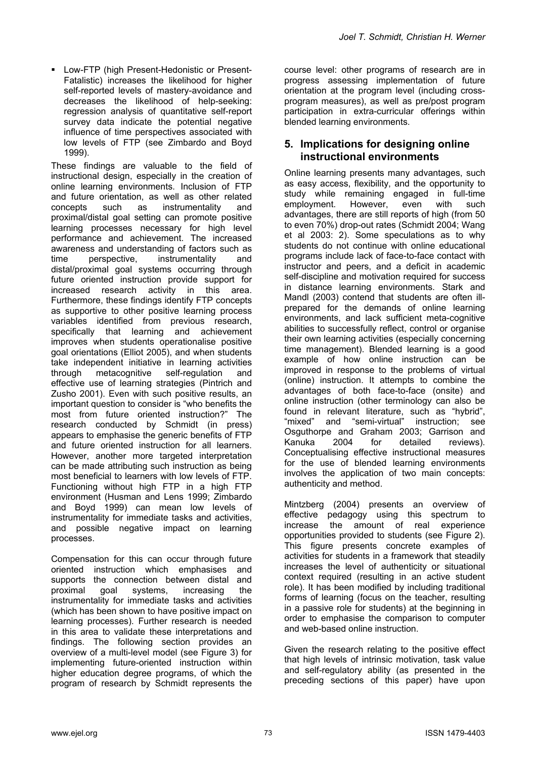Low-FTP (high Present-Hedonistic or Present-Fatalistic) increases the likelihood for higher self-reported levels of mastery-avoidance and decreases the likelihood of help-seeking: regression analysis of quantitative self-report survey data indicate the potential negative influence of time perspectives associated with low levels of FTP (see Zimbardo and Boyd 1999).

These findings are valuable to the field of instructional design, especially in the creation of online learning environments. Inclusion of FTP and future orientation, as well as other related concepts such as instrumentality and proximal/distal goal setting can promote positive learning processes necessary for high level performance and achievement. The increased awareness and understanding of factors such as time perspective, instrumentality and distal/proximal goal systems occurring through future oriented instruction provide support for increased research activity in this area. Furthermore, these findings identify FTP concepts as supportive to other positive learning process variables identified from previous research, specifically that learning and achievement improves when students operationalise positive goal orientations (Elliot 2005), and when students take independent initiative in learning activities through metacognitive self-regulation and effective use of learning strategies (Pintrich and Zusho 2001). Even with such positive results, an important question to consider is "who benefits the most from future oriented instruction?" The research conducted by Schmidt (in press) appears to emphasise the generic benefits of FTP and future oriented instruction for all learners. However, another more targeted interpretation can be made attributing such instruction as being most beneficial to learners with low levels of FTP. Functioning without high FTP in a high FTP environment (Husman and Lens 1999; Zimbardo and Boyd 1999) can mean low levels of instrumentality for immediate tasks and activities, and possible negative impact on learning processes.

Compensation for this can occur through future oriented instruction which emphasises and supports the connection between distal and proximal goal systems, increasing the instrumentality for immediate tasks and activities (which has been shown to have positive impact on learning processes). Further research is needed in this area to validate these interpretations and findings. The following section provides an overview of a multi-level model (see Figure 3) for implementing future-oriented instruction within higher education degree programs, of which the program of research by Schmidt represents the

course level: other programs of research are in progress assessing implementation of future orientation at the program level (including crossprogram measures), as well as pre/post program participation in extra-curricular offerings within blended learning environments.

#### **5. Implications for designing online instructional environments**

Online learning presents many advantages, such as easy access, flexibility, and the opportunity to study while remaining engaged in full-time employment. However, even with such advantages, there are still reports of high (from 50 to even 70%) drop-out rates (Schmidt 2004; Wang et al 2003: 2). Some speculations as to why students do not continue with online educational programs include lack of face-to-face contact with instructor and peers, and a deficit in academic self-discipline and motivation required for success in distance learning environments. Stark and Mandl (2003) contend that students are often illprepared for the demands of online learning environments, and lack sufficient meta-cognitive abilities to successfully reflect, control or organise their own learning activities (especially concerning time management). Blended learning is a good example of how online instruction can be improved in response to the problems of virtual (online) instruction. It attempts to combine the advantages of both face-to-face (onsite) and online instruction (other terminology can also be found in relevant literature, such as "hybrid", "mixed" and "semi-virtual" instruction; see Osguthorpe and Graham 2003; Garrison and Kanuka 2004 for detailed reviews). Conceptualising effective instructional measures for the use of blended learning environments involves the application of two main concepts: authenticity and method.

Mintzberg (2004) presents an overview of effective pedagogy using this spectrum to increase the amount of real experience opportunities provided to students (see Figure 2). This figure presents concrete examples of activities for students in a framework that steadily increases the level of authenticity or situational context required (resulting in an active student role). It has been modified by including traditional forms of learning (focus on the teacher, resulting in a passive role for students) at the beginning in order to emphasise the comparison to computer and web-based online instruction.

Given the research relating to the positive effect that high levels of intrinsic motivation, task value and self-regulatory ability (as presented in the preceding sections of this paper) have upon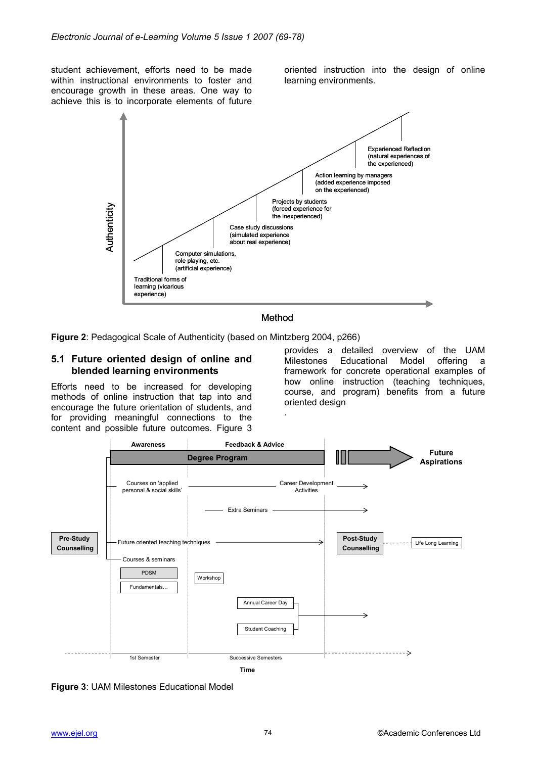student achievement, efforts need to be made within instructional environments to foster and encourage growth in these areas. One way to achieve this is to incorporate elements of future oriented instruction into the design of online learning environments.



#### Method

.

**Figure 2**: Pedagogical Scale of Authenticity (based on Mintzberg 2004, p266)

#### **5.1 Future oriented design of online and blended learning environments**

Efforts need to be increased for developing methods of online instruction that tap into and encourage the future orientation of students, and for providing meaningful connections to the content and possible future outcomes. Figure 3

provides a detailed overview of the UAM Milestones Educational Model offering a framework for concrete operational examples of how online instruction (teaching techniques, course, and program) benefits from a future oriented design



**Figure 3**: UAM Milestones Educational Model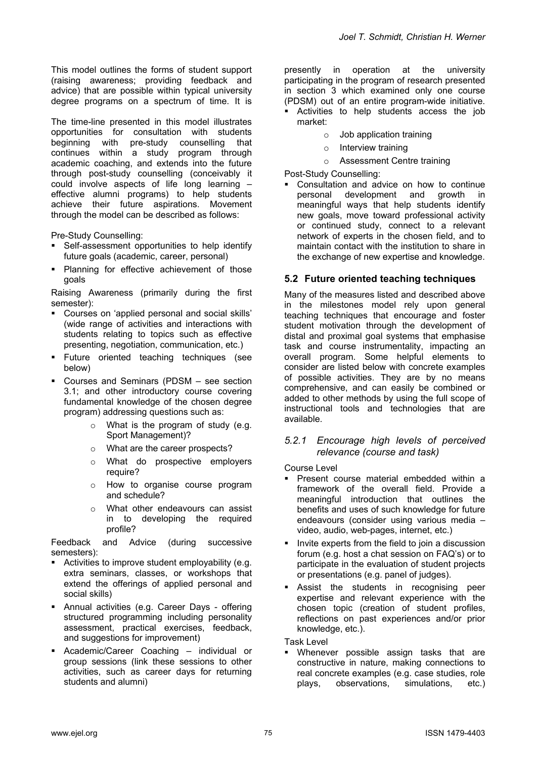This model outlines the forms of student support (raising awareness; providing feedback and advice) that are possible within typical university degree programs on a spectrum of time. It is

The time-line presented in this model illustrates opportunities for consultation with students beginning with pre-study counselling that continues within a study program through academic coaching, and extends into the future through post-study counselling (conceivably it could involve aspects of life long learning – effective alumni programs) to help students achieve their future aspirations. Movement through the model can be described as follows:

Pre-Study Counselling:

- Self-assessment opportunities to help identify future goals (academic, career, personal)
- **Planning for effective achievement of those** goals

Raising Awareness (primarily during the first semester):

- Courses on 'applied personal and social skills' (wide range of activities and interactions with students relating to topics such as effective presenting, negotiation, communication, etc.)
- **Future oriented teaching techniques (see** below)
- Courses and Seminars (PDSM see section 3.1; and other introductory course covering fundamental knowledge of the chosen degree program) addressing questions such as:
	- o What is the program of study (e.g. Sport Management)?
	- o What are the career prospects?
	- o What do prospective employers require?
	- o How to organise course program and schedule?
	- o What other endeavours can assist in to developing the required profile?

Feedback and Advice (during successive semesters):

- Activities to improve student employability (e.g. extra seminars, classes, or workshops that extend the offerings of applied personal and social skills)
- Annual activities (e.g. Career Days offering structured programming including personality assessment, practical exercises, feedback, and suggestions for improvement)
- Academic/Career Coaching individual or group sessions (link these sessions to other activities, such as career days for returning students and alumni)

presently in operation at the university participating in the program of research presented in section 3 which examined only one course (PDSM) out of an entire program-wide initiative.

- Activities to help students access the job market:
	- o Job application training
	- o Interview training
	- Assessment Centre training

Post-Study Counselling:

 Consultation and advice on how to continue personal development and growth in meaningful ways that help students identify new goals, move toward professional activity or continued study, connect to a relevant network of experts in the chosen field, and to maintain contact with the institution to share in the exchange of new expertise and knowledge.

#### **5.2 Future oriented teaching techniques**

Many of the measures listed and described above in the milestones model rely upon general teaching techniques that encourage and foster student motivation through the development of distal and proximal goal systems that emphasise task and course instrumentality, impacting an overall program. Some helpful elements to consider are listed below with concrete examples of possible activities. They are by no means comprehensive, and can easily be combined or added to other methods by using the full scope of instructional tools and technologies that are available.

#### *5.2.1 Encourage high levels of perceived relevance (course and task)*

Course Level

- Present course material embedded within a framework of the overall field. Provide a meaningful introduction that outlines the benefits and uses of such knowledge for future endeavours (consider using various media – video, audio, web-pages, internet, etc.)
- Invite experts from the field to join a discussion forum (e.g. host a chat session on FAQ's) or to participate in the evaluation of student projects or presentations (e.g. panel of judges).
- Assist the students in recognising peer expertise and relevant experience with the chosen topic (creation of student profiles, reflections on past experiences and/or prior knowledge, etc.).

Task Level

 Whenever possible assign tasks that are constructive in nature, making connections to real concrete examples (e.g. case studies, role plays, observations, simulations, etc.)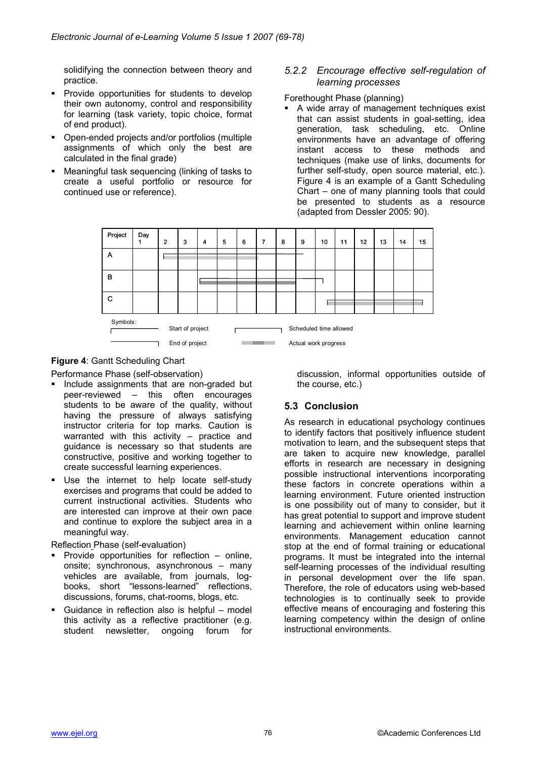solidifying the connection between theory and practice.

- **Provide opportunities for students to develop** their own autonomy, control and responsibility for learning (task variety, topic choice, format of end product).
- Open-ended projects and/or portfolios (multiple assignments of which only the best are calculated in the final grade)
- Meaningful task sequencing (linking of tasks to create a useful portfolio or resource for continued use or reference).

#### *5.2.2 Encourage effective self-regulation of learning processes*

Forethought Phase (planning)

 A wide array of management techniques exist that can assist students in goal-setting, idea generation, task scheduling, etc. Online environments have an advantage of offering instant access to these methods and techniques (make use of links, documents for further self-study, open source material, etc.). Figure 4 is an example of a Gantt Scheduling Chart – one of many planning tools that could be presented to students as a resource (adapted from Dessler 2005: 90).



#### **Figure 4**: Gantt Scheduling Chart

Performance Phase (self-observation)

- **Include assignments that are non-graded but** peer-reviewed – this often encourages students to be aware of the quality, without having the pressure of always satisfying instructor criteria for top marks. Caution is warranted with this activity – practice and guidance is necessary so that students are constructive, positive and working together to create successful learning experiences.
- **Use the internet to help locate self-study** exercises and programs that could be added to current instructional activities. Students who are interested can improve at their own pace and continue to explore the subject area in a meaningful way.

Reflection Phase (self-evaluation)

- **Provide opportunities for reflection online,** onsite; synchronous, asynchronous – many vehicles are available, from journals, logbooks, short "lessons-learned" reflections, discussions, forums, chat-rooms, blogs, etc.
- Guidance in reflection also is helpful model this activity as a reflective practitioner (e.g. student newsletter, ongoing forum for

discussion, informal opportunities outside of the course, etc.)

# **5.3 Conclusion**

As research in educational psychology continues to identify factors that positively influence student motivation to learn, and the subsequent steps that are taken to acquire new knowledge, parallel efforts in research are necessary in designing possible instructional interventions incorporating these factors in concrete operations within a learning environment. Future oriented instruction is one possibility out of many to consider, but it has great potential to support and improve student learning and achievement within online learning environments. Management education cannot stop at the end of formal training or educational programs. It must be integrated into the internal self-learning processes of the individual resulting in personal development over the life span. Therefore, the role of educators using web-based technologies is to continually seek to provide effective means of encouraging and fostering this learning competency within the design of online instructional environments.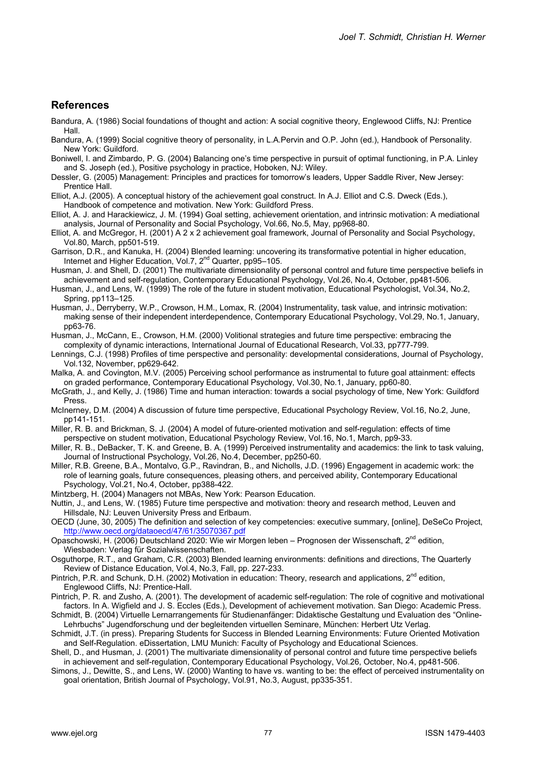#### **References**

- Bandura, A. (1986) Social foundations of thought and action: A social cognitive theory, Englewood Cliffs, NJ: Prentice Hall.
- Bandura, A. (1999) Social cognitive theory of personality, in L.A.Pervin and O.P. John (ed.), Handbook of Personality. New York: Guildford.
- Boniwell, I. and Zimbardo, P. G. (2004) Balancing one's time perspective in pursuit of optimal functioning, in P.A. Linley and S. Joseph (ed.), Positive psychology in practice, Hoboken, NJ: Wiley.
- Dessler, G. (2005) Management: Principles and practices for tomorrow's leaders, Upper Saddle River, New Jersey: Prentice Hall.
- Elliot, A.J. (2005). A conceptual history of the achievement goal construct. In A.J. Elliot and C.S. Dweck (Eds.), Handbook of competence and motivation. New York: Guildford Press.
- Elliot, A. J. and Harackiewicz, J. M. (1994) Goal setting, achievement orientation, and intrinsic motivation: A mediational analysis, Journal of Personality and Social Psychology, Vol.66, No.5, May, pp968-80.
- Elliot, A. and McGregor, H. (2001) A 2 x 2 achievement goal framework, Journal of Personality and Social Psychology, Vol.80, March, pp501-519.
- Garrison, D.R., and Kanuka, H. (2004) Blended learning: uncovering its transformative potential in higher education, Internet and Higher Education, Vol.7, 2<sup>nd</sup> Quarter, pp95-105.
- Husman, J. and Shell, D. (2001) The multivariate dimensionality of personal control and future time perspective beliefs in achievement and self-regulation, Contemporary Educational Psychology, Vol.26, No.4, October, pp481-506.
- Husman, J., and Lens, W. (1999) The role of the future in student motivation, Educational Psychologist, Vol.34, No.2, Spring, pp113–125.
- Husman, J., Derryberry, W.P., Crowson, H.M., Lomax, R. (2004) Instrumentality, task value, and intrinsic motivation: making sense of their independent interdependence, Contemporary Educational Psychology, Vol.29, No.1, January, pp63-76.
- Husman, J., McCann, E., Crowson, H.M. (2000) Volitional strategies and future time perspective: embracing the complexity of dynamic interactions, International Journal of Educational Research, Vol.33, pp777-799.
- Lennings, C.J. (1998) Profiles of time perspective and personality: developmental considerations, Journal of Psychology, Vol.132, November, pp629-642.
- Malka, A. and Covington, M.V. (2005) Perceiving school performance as instrumental to future goal attainment: effects on graded performance, Contemporary Educational Psychology, Vol.30, No.1, January, pp60-80.
- McGrath, J., and Kelly, J. (1986) Time and human interaction: towards a social psychology of time, New York: Guildford Press.
- McInerney, D.M. (2004) A discussion of future time perspective, Educational Psychology Review, Vol.16, No.2, June, pp141-151.
- Miller, R. B. and Brickman, S. J. (2004) A model of future-oriented motivation and self-regulation: effects of time perspective on student motivation, Educational Psychology Review, Vol.16, No.1, March, pp9-33.
- Miller, R. B., DeBacker, T. K. and Greene, B. A. (1999) Perceived instrumentality and academics: the link to task valuing, Journal of Instructional Psychology, Vol.26, No.4, December, pp250-60.
- Miller, R.B. Greene, B.A., Montalvo, G.P., Ravindran, B., and Nicholls, J.D. (1996) Engagement in academic work: the role of learning goals, future consequences, pleasing others, and perceived ability, Contemporary Educational Psychology, Vol.21, No.4, October, pp388-422.
- Mintzberg, H. (2004) Managers not MBAs, New York: Pearson Education.
- Nuttin, J., and Lens, W. (1985) Future time perspective and motivation: theory and research method, Leuven and Hillsdale, NJ: Leuven University Press and Erlbaum.

OECD (June, 30, 2005) The definition and selection of key competencies: executive summary, [online], DeSeCo Project, http://www.oecd.org/dataoecd/47/61/35070367.pdf

- Opaschowski, H. (2006) Deutschland 2020: Wie wir Morgen leben Prognosen der Wissenschaft, 2<sup>nd</sup> edition, Wiesbaden: Verlag für Sozialwissenschaften.
- Osguthorpe, R.T., and Graham, C.R. (2003) Blended learning environments: definitions and directions, The Quarterly Review of Distance Education, Vol.4, No.3, Fall, pp. 227-233.
- Pintrich, P.R. and Schunk, D.H. (2002) Motivation in education: Theory, research and applications, 2<sup>nd</sup> edition, Englewood Cliffs, NJ: Prentice-Hall.
- Pintrich, P. R. and Zusho, A. (2001). The development of academic self-regulation: The role of cognitive and motivational factors. In A. Wigfield and J. S. Eccles (Eds.), Development of achievement motivation. San Diego: Academic Press.

Schmidt, B. (2004) Virtuelle Lernarrangements für Studienanfänger: Didaktische Gestaltung und Evaluation des "Online-Lehrbuchs" Jugendforschung und der begleitenden virtuellen Seminare, München: Herbert Utz Verlag.

- Schmidt, J.T. (in press). Preparing Students for Success in Blended Learning Environments: Future Oriented Motivation and Self-Regulation. eDissertation, LMU Munich: Faculty of Psychology and Educational Sciences.
- Shell, D., and Husman, J. (2001) The multivariate dimensionality of personal control and future time perspective beliefs in achievement and self-regulation, Contemporary Educational Psychology, Vol.26, October, No.4, pp481-506.
- Simons, J., Dewitte, S., and Lens, W. (2000) Wanting to have vs. wanting to be: the effect of perceived instrumentality on goal orientation, British Journal of Psychology, Vol.91, No.3, August, pp335-351.